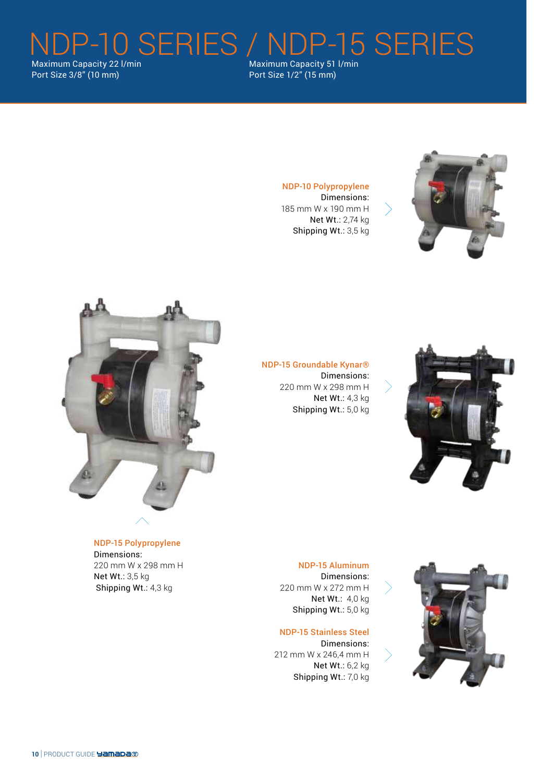NDP-10 SERIES / NDP-15 SERIES Maximum Capacity 22 l/min Port Size 3/8" (10 mm)

Maximum Capacity 51 l/min Port Size 1/2" (15 mm)



NDP-10 Polypropylene Dimensions: 185 mm W x 190 mm H

> Net Wt.: 2,74 kg Shipping Wt.: 3,5 kg



NDP-15 Groundable Kynar® Dimensions: 220 mm W x 298 mm H Net Wt.: 4,3 kg Shipping Wt.: 5,0 kg



NDP-15 Polypropylene Dimensions: 220 mm W x 298 mm H Net Wt.: 3,5 kg Shipping Wt.: 4,3 kg

NDP-15 Aluminum Dimensions: 220 mm W x 272 mm H Net Wt.: 4,0 kg Shipping Wt.: 5,0 kg

NDP-15 Stainless Steel Dimensions: 212 mm W x 246,4 mm H Net Wt.: 6,2 kg Shipping Wt.: 7,0 kg